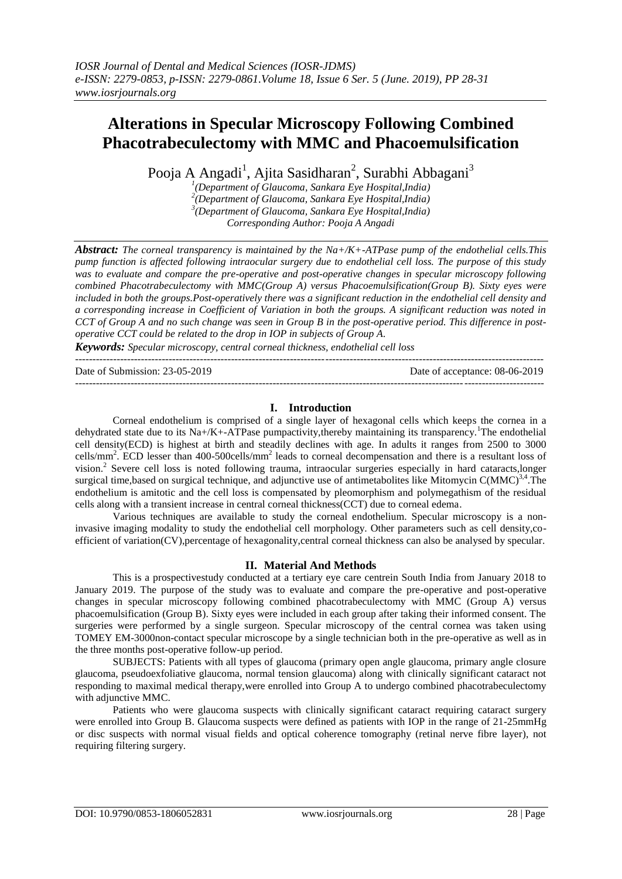# **Alterations in Specular Microscopy Following Combined Phacotrabeculectomy with MMC and Phacoemulsification**

Pooja A Angadi<sup>1</sup>, Ajita Sasidharan<sup>2</sup>, Surabhi Abbagani<sup>3</sup>

 *(Department of Glaucoma, Sankara Eye Hospital,India) (Department of Glaucoma, Sankara Eye Hospital,India) (Department of Glaucoma, Sankara Eye Hospital,India) Corresponding Author: Pooja A Angadi*

*Abstract: The corneal transparency is maintained by the Na+/K+-ATPase pump of the endothelial cells.This pump function is affected following intraocular surgery due to endothelial cell loss. The purpose of this study was to evaluate and compare the pre-operative and post-operative changes in specular microscopy following combined Phacotrabeculectomy with MMC(Group A) versus Phacoemulsification(Group B). Sixty eyes were included in both the groups.Post-operatively there was a significant reduction in the endothelial cell density and a corresponding increase in Coefficient of Variation in both the groups. A significant reduction was noted in CCT of Group A and no such change was seen in Group B in the post-operative period. This difference in postoperative CCT could be related to the drop in IOP in subjects of Group A.*

*Keywords: Specular microscopy, central corneal thickness, endothelial cell loss* ---------------------------------------------------------------------------------------------------------------------------------------

Date of Submission: 23-05-2019 Date of acceptance: 08-06-2019 ---------------------------------------------------------------------------------------------------------------------------------------

## **I. Introduction**

Corneal endothelium is comprised of a single layer of hexagonal cells which keeps the cornea in a dehydrated state due to its Na+/K+-ATPase pumpactivity, thereby maintaining its transparency.<sup>1</sup>The endothelial cell density(ECD) is highest at birth and steadily declines with age. In adults it ranges from 2500 to 3000 cells/mm<sup>2</sup>. ECD lesser than 400-500cells/mm<sup>2</sup> leads to corneal decompensation and there is a resultant loss of vision.<sup>2</sup> Severe cell loss is noted following trauma, intraocular surgeries especially in hard cataracts, longer surgical time, based on surgical technique, and adjunctive use of antimetabolites like Mitomycin  $C(MMC)^{3,4}$ . The endothelium is amitotic and the cell loss is compensated by pleomorphism and polymegathism of the residual cells along with a transient increase in central corneal thickness(CCT) due to corneal edema.

Various techniques are available to study the corneal endothelium. Specular microscopy is a noninvasive imaging modality to study the endothelial cell morphology. Other parameters such as cell density,coefficient of variation(CV),percentage of hexagonality,central corneal thickness can also be analysed by specular.

### **II. Material And Methods**

This is a prospectivestudy conducted at a tertiary eye care centrein South India from January 2018 to January 2019. The purpose of the study was to evaluate and compare the pre-operative and post-operative changes in specular microscopy following combined phacotrabeculectomy with MMC (Group A) versus phacoemulsification (Group B). Sixty eyes were included in each group after taking their informed consent. The surgeries were performed by a single surgeon. Specular microscopy of the central cornea was taken using TOMEY EM-3000non-contact specular microscope by a single technician both in the pre-operative as well as in the three months post-operative follow-up period.

SUBJECTS: Patients with all types of glaucoma (primary open angle glaucoma, primary angle closure glaucoma, pseudoexfoliative glaucoma, normal tension glaucoma) along with clinically significant cataract not responding to maximal medical therapy,were enrolled into Group A to undergo combined phacotrabeculectomy with adjunctive MMC.

Patients who were glaucoma suspects with clinically significant cataract requiring cataract surgery were enrolled into Group B. Glaucoma suspects were defined as patients with IOP in the range of 21-25mmHg or disc suspects with normal visual fields and optical coherence tomography (retinal nerve fibre layer), not requiring filtering surgery.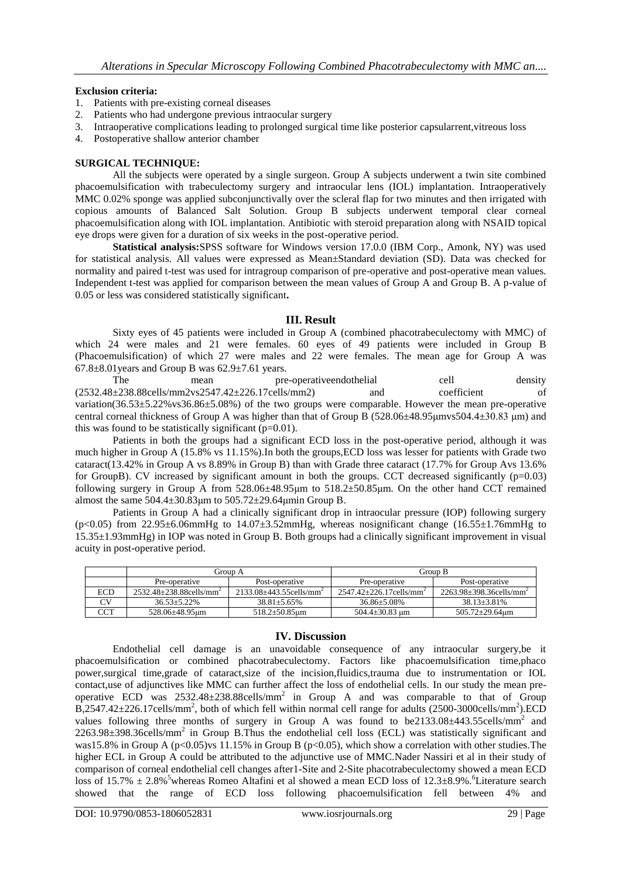#### **Exclusion criteria:**

- 1. Patients with pre-existing corneal diseases
- 2. Patients who had undergone previous intraocular surgery
- 3. Intraoperative complications leading to prolonged surgical time like posterior capsularrent,vitreous loss
- 4. Postoperative shallow anterior chamber

#### **SURGICAL TECHNIQUE:**

All the subjects were operated by a single surgeon. Group A subjects underwent a twin site combined phacoemulsification with trabeculectomy surgery and intraocular lens (IOL) implantation. Intraoperatively MMC 0.02% sponge was applied subconjunctivally over the scleral flap for two minutes and then irrigated with copious amounts of Balanced Salt Solution. Group B subjects underwent temporal clear corneal phacoemulsification along with IOL implantation. Antibiotic with steroid preparation along with NSAID topical eye drops were given for a duration of six weeks in the post-operative period.

**Statistical analysis:**SPSS software for Windows version 17.0.0 (IBM Corp., Amonk, NY) was used for statistical analysis. All values were expressed as Mean±Standard deviation (SD). Data was checked for normality and paired t-test was used for intragroup comparison of pre-operative and post-operative mean values. Independent t-test was applied for comparison between the mean values of Group A and Group B. A p-value of 0.05 or less was considered statistically significant**.**

#### **III. Result**

Sixty eyes of 45 patients were included in Group A (combined phacotrabeculectomy with MMC) of which 24 were males and 21 were females. 60 eyes of 49 patients were included in Group B (Phacoemulsification) of which 27 were males and 22 were females. The mean age for Group A was 67.8±8.01years and Group B was 62.9±7.61 years.

The mean pre-operativeendothelial cell density (2532.48±238.88cells/mm2vs2547.42±226.17cells/mm2) and coefficient of variation( $36.53\pm5.22\%$  vs $36.86\pm5.08\%$ ) of the two groups were comparable. However the mean pre-operative central corneal thickness of Group A was higher than that of Group B (528.06±48.95μmvs504.4±30.83 μm) and this was found to be statistically significant  $(p=0.01)$ .

Patients in both the groups had a significant ECD loss in the post-operative period, although it was much higher in Group A (15.8% vs 11.15%).In both the groups,ECD loss was lesser for patients with Grade two cataract(13.42% in Group A vs 8.89% in Group B) than with Grade three cataract (17.7% for Group Avs 13.6% for GroupB). CV increased by significant amount in both the groups. CCT decreased significantly (p=0.03) following surgery in Group A from 528.06±48.95μm to 518.2±50.85μm. On the other hand CCT remained almost the same  $504.4 \pm 30.83 \mu m$  to  $505.72 \pm 29.64 \mu m$  Group B.

Patients in Group A had a clinically significant drop in intraocular pressure (IOP) following surgery  $(p<0.05)$  from 22.95±6.06mmHg to 14.07±3.52mmHg, whereas nosignificant change (16.55±1.76mmHg to 15.35±1.93mmHg) in IOP was noted in Group B. Both groups had a clinically significant improvement in visual acuity in post-operative period.

|            | Group A                                  |                                          | Group B                                |                                          |
|------------|------------------------------------------|------------------------------------------|----------------------------------------|------------------------------------------|
|            | Pre-operative                            | Post-operative                           | Pre-operative                          | Post-operative                           |
| <b>ECD</b> | $2532.48 + 238.88$ cells/mm <sup>2</sup> | $2133.08 + 443.55$ cells/mm <sup>2</sup> | $2547.42+226.17$ cells/mm <sup>2</sup> | $2263.98 + 398.36$ cells/mm <sup>2</sup> |
| CV         | $36.53 + 5.22\%$                         | $38.81 + 5.65\%$                         | $36.86 + 5.08\%$                       | $38.13 + 3.81\%$                         |
| CCT        | 528.06+48.95um                           | $518.2 \pm 50.85$ um                     | $504.4 \pm 30.83$ um                   | 505.72±29.64um                           |

#### **IV. Discussion**

Endothelial cell damage is an unavoidable consequence of any intraocular surgery,be it phacoemulsification or combined phacotrabeculectomy. Factors like phacoemulsification time,phaco power,surgical time,grade of cataract,size of the incision,fluidics,trauma due to instrumentation or IOL contact,use of adjunctives like MMC can further affect the loss of endothelial cells. In our study the mean preoperative ECD was  $2532.48\pm 238.88$ cells/mm<sup>2</sup> in Group A and was comparable to that of Group  $\overline{B}$ ,2547.42 $\pm$ 226.17cells/mm<sup>2</sup>, both of which fell within normal cell range for adults (2500-3000cells/mm<sup>2</sup>).ECD values following three months of surgery in Group A was found to be $2133.08\pm443.55$ cells/mm<sup>2</sup> and 2263.98±398.36cells/mm<sup>2</sup> in Group B.Thus the endothelial cell loss (ECL) was statistically significant and was15.8% in Group A (p<0.05)vs 11.15% in Group B (p<0.05), which show a correlation with other studies. The higher ECL in Group A could be attributed to the adjunctive use of MMC.Nader Nassiri et al in their study of comparison of corneal endothelial cell changes after1-Site and 2-Site phacotrabeculectomy showed a mean ECD loss of 15.7%  $\pm 2.8\%$ <sup>5</sup>whereas Romeo Altafini et al showed a mean ECD loss of 12.3 $\pm 8.9\%$ .<sup>6</sup>Literature search showed that the range of ECD loss following phacoemulsification fell between 4% and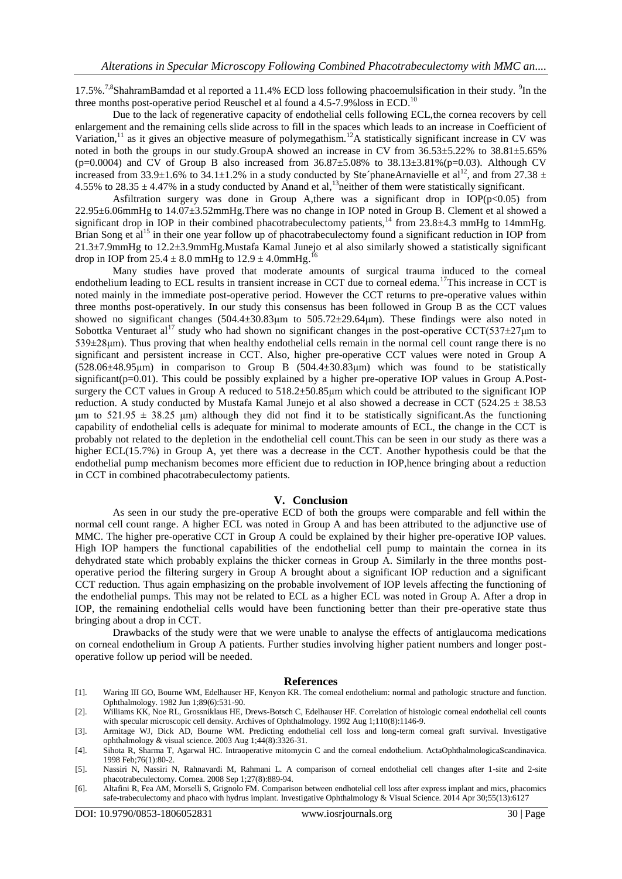17.5%.<sup>7,8</sup>ShahramBamdad et al reported a 11.4% ECD loss following phacoemulsification in their study. <sup>9</sup>In the three months post-operative period Reuschel et al found a  $4.5$ -7.9% loss in ECD.<sup>10</sup>

Due to the lack of regenerative capacity of endothelial cells following ECL,the cornea recovers by cell enlargement and the remaining cells slide across to fill in the spaces which leads to an increase in Coefficient of Variation,<sup>11</sup> as it gives an objective measure of polymegathism.<sup>12</sup>A statistically significant increase in CV was noted in both the groups in our study.GroupA showed an increase in CV from 36.53±5.22% to 38.81±5.65%  $(p=0.0004)$  and CV of Group B also increased from  $36.87 \pm 5.08\%$  to  $38.13 \pm 3.81\%$  (p=0.03). Although CV increased from 33.9 $\pm$ 1.6% to 34.1 $\pm$ 1.2% in a study conducted by Ste´phaneArnavielle et al<sup>12</sup>, and from 27.38  $\pm$ 4.55% to  $28.35 \pm 4.47$ % in a study conducted by Anand et al,<sup>13</sup>neither of them were statistically significant.

Asfiltration surgery was done in Group A, there was a significant drop in IOP( $p<0.05$ ) from 22.95±6.06mmHg to 14.07±3.52mmHg.There was no change in IOP noted in Group B. Clement et al showed a significant drop in IOP in their combined phacotrabeculectomy patients,<sup>14</sup> from 23.8±4.3 mmHg to 14mmHg. Brian Song et al<sup>15</sup> in their one year follow up of phacotrabeculectomy found a significant reduction in IOP from 21.3±7.9mmHg to 12.2±3.9mmHg.Mustafa Kamal Junejo et al also similarly showed a statistically significant drop in IOP from  $25.4 \pm 8.0$  mmHg to  $12.9 \pm 4.0$ mmHg.<sup>16</sup>

Many studies have proved that moderate amounts of surgical trauma induced to the corneal endothelium leading to ECL results in transient increase in CCT due to corneal edema.<sup>17</sup>This increase in CCT is noted mainly in the immediate post-operative period. However the CCT returns to pre-operative values within three months post-operatively. In our study this consensus has been followed in Group B as the CCT values showed no significant changes  $(504.4\pm 30.83 \text{ µm})$  to  $505.72\pm 29.64 \text{ µm}$ . These findings were also noted in Sobottka Venturaet al<sup>17</sup> study who had shown no significant changes in the post-operative CCT(537 $\pm$ 27µm to 539±28μm). Thus proving that when healthy endothelial cells remain in the normal cell count range there is no significant and persistent increase in CCT. Also, higher pre-operative CCT values were noted in Group A  $(528.06\pm48.95\mu m)$  in comparison to Group B  $(504.4\pm30.83\mu m)$  which was found to be statistically significant(p=0.01). This could be possibly explained by a higher pre-operative IOP values in Group A.Postsurgery the CCT values in Group A reduced to  $518.2 \pm 50.85 \mu m$  which could be attributed to the significant IOP reduction. A study conducted by Mustafa Kamal Junejo et al also showed a decrease in CCT (524.25 ± 38.53 μm to  $521.95 \pm 38.25$  μm) although they did not find it to be statistically significant. As the functioning capability of endothelial cells is adequate for minimal to moderate amounts of ECL, the change in the CCT is probably not related to the depletion in the endothelial cell count.This can be seen in our study as there was a higher ECL(15.7%) in Group A, yet there was a decrease in the CCT. Another hypothesis could be that the endothelial pump mechanism becomes more efficient due to reduction in IOP,hence bringing about a reduction in CCT in combined phacotrabeculectomy patients.

#### **V. Conclusion**

As seen in our study the pre-operative ECD of both the groups were comparable and fell within the normal cell count range. A higher ECL was noted in Group A and has been attributed to the adjunctive use of MMC. The higher pre-operative CCT in Group A could be explained by their higher pre-operative IOP values. High IOP hampers the functional capabilities of the endothelial cell pump to maintain the cornea in its dehydrated state which probably explains the thicker corneas in Group A. Similarly in the three months postoperative period the filtering surgery in Group A brought about a significant IOP reduction and a significant CCT reduction. Thus again emphasizing on the probable involvement of IOP levels affecting the functioning of the endothelial pumps. This may not be related to ECL as a higher ECL was noted in Group A. After a drop in IOP, the remaining endothelial cells would have been functioning better than their pre-operative state thus bringing about a drop in CCT.

Drawbacks of the study were that we were unable to analyse the effects of antiglaucoma medications on corneal endothelium in Group A patients. Further studies involving higher patient numbers and longer postoperative follow up period will be needed.

#### **References**

- [1]. Waring III GO, Bourne WM, Edelhauser HF, Kenyon KR. The corneal endothelium: normal and pathologic structure and function. Ophthalmology. 1982 Jun 1;89(6):531-90.
- [2]. Williams KK, Noe RL, Grossniklaus HE, Drews-Botsch C, Edelhauser HF. Correlation of histologic corneal endothelial cell counts with specular microscopic cell density. Archives of Ophthalmology. 1992 Aug 1;110(8):1146-9.
- [3]. Armitage WJ, Dick AD, Bourne WM. Predicting endothelial cell loss and long-term corneal graft survival. Investigative ophthalmology & visual science. 2003 Aug 1;44(8):3326-31.
- [4]. Sihota R, Sharma T, Agarwal HC. Intraoperative mitomycin C and the corneal endothelium. ActaOphthalmologicaScandinavica. 1998 Feb;76(1):80-2.
- [5]. Nassiri N, Nassiri N, Rahnavardi M, Rahmani L. A comparison of corneal endothelial cell changes after 1-site and 2-site phacotrabeculectomy. Cornea. 2008 Sep 1;27(8):889-94.
- [6]. Altafini R, Fea AM, Morselli S, Grignolo FM. Comparison between endhotelial cell loss after express implant and mics, phacomics safe-trabeculectomy and phaco with hydrus implant. Investigative Ophthalmology & Visual Science. 2014 Apr 30;55(13):6127